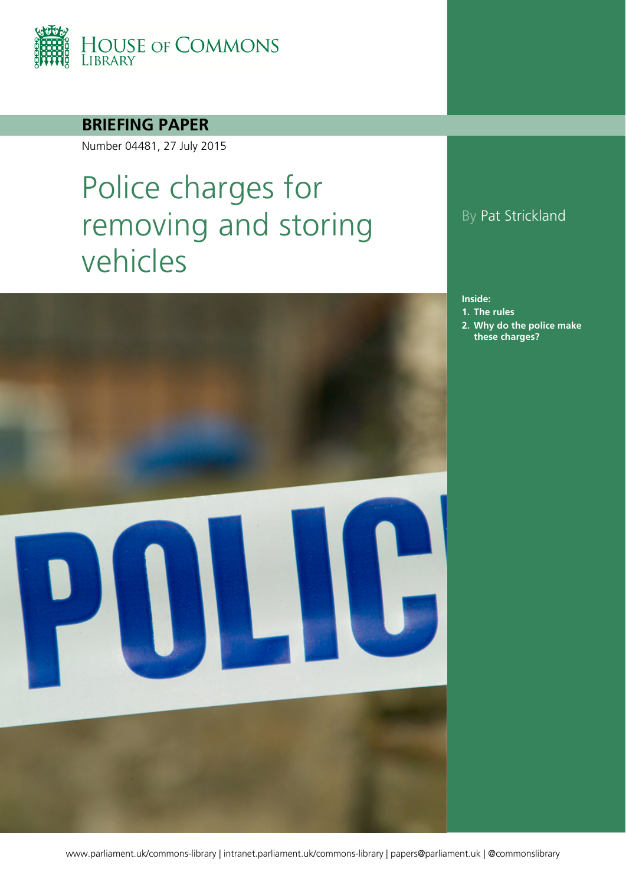

### **BRIEFING PAPER**

Number 04481, 27 July 2015

# Police charges for removing and storing vehicles



### By Pat Strickland

**Inside:**

- **1. [The rules](#page-3-0)**
- **2. [Why do the police make](#page-4-0)  [these charges?](#page-4-0)**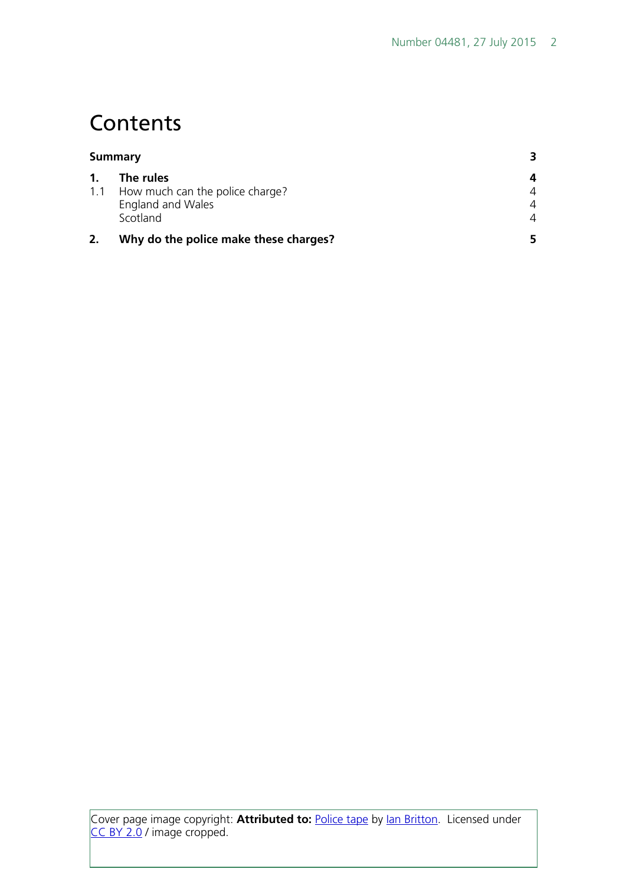# **Contents**

| <b>Summary</b> |                                       |                |
|----------------|---------------------------------------|----------------|
| 1.             | The rules                             | 4              |
| 1.1            | How much can the police charge?       | 4              |
|                | England and Wales                     | $\overline{4}$ |
|                | Scotland                              | $\overline{A}$ |
|                | Why do the police make these charges? |                |

Cover page image copyright: **Attributed to:** [Police tape](https://www.flickr.com/photos/freefoto/2194435381/in/photolist-4kV4bM-6o9NgG-njUXuw-k5PZ3-ph8MMx-az5PY1-4wekms-pdi1Gh-rPw64r-6HfsSK-5QSzak-pdi1E3-49JXFr-6o5C96-HjZTA-3GhnG-aEYDth-pgRKe4-9ZkPny-64Gd2j-8tyXh9-51Xs1k-dQJsB8-ph6NoJ-4bkmBp-F3crz-ehC6bi-kU2sPZ-5vV3fw-bknyWR-aaAAsh-83fXyp-7evTqS-a9BTfA-5XJ9E2-mXr15-7etQMJ-c7N9Lq-cdnofq-8SwrwX-6JtVTp-4pzUyZ-5PvfbA-adK5r5-a2wBkQ-nfLraF-6o9NiC-5QSAVa-camZKo-bwqiZW) by [Ian Britton.](https://www.flickr.com/photos/freefoto/) Licensed under [CC BY 2.0](https://creativecommons.org/licenses/by-nc/2.0/) / image cropped.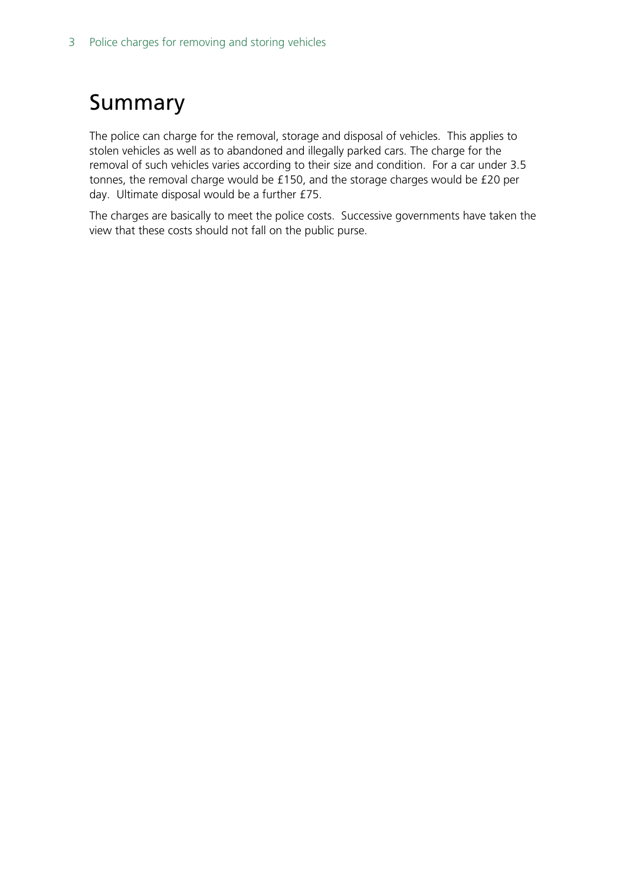# <span id="page-2-0"></span>Summary

The police can charge for the removal, storage and disposal of vehicles. This applies to stolen vehicles as well as to abandoned and illegally parked cars. The charge for the removal of such vehicles varies according to their size and condition. For a car under 3.5 tonnes, the removal charge would be £150, and the storage charges would be £20 per day. Ultimate disposal would be a further £75.

The charges are basically to meet the police costs. Successive governments have taken the view that these costs should not fall on the public purse.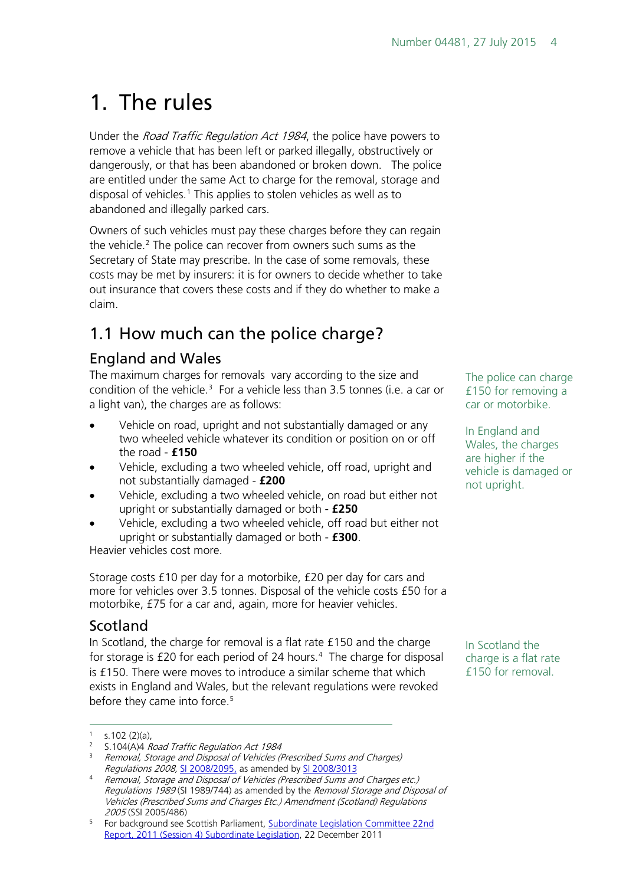# <span id="page-3-0"></span>1. The rules

Under the *Road Traffic Regulation Act 1984*, the police have powers to remove a vehicle that has been left or parked illegally, obstructively or dangerously, or that has been abandoned or broken down. The police are entitled under the same Act to charge for the removal, storage and disposal of vehicles.<sup>[1](#page-3-4)</sup> This applies to stolen vehicles as well as to abandoned and illegally parked cars.

Owners of such vehicles must pay these charges before they can regain the vehicle.<sup>[2](#page-3-5)</sup> The police can recover from owners such sums as the Secretary of State may prescribe. In the case of some removals, these costs may be met by insurers: it is for owners to decide whether to take out insurance that covers these costs and if they do whether to make a claim.

## <span id="page-3-1"></span>1.1 How much can the police charge?

### <span id="page-3-2"></span>England and Wales

The maximum charges for removals vary according to the size and condition of the vehicle. $3$  For a vehicle less than 3.5 tonnes (i.e. a car or a light van), the charges are as follows:

- Vehicle on road, upright and not substantially damaged or any two wheeled vehicle whatever its condition or position on or off the road - **£150**
- Vehicle, excluding a two wheeled vehicle, off road, upright and not substantially damaged - **£200**
- Vehicle, excluding a two wheeled vehicle, on road but either not upright or substantially damaged or both - **£250**
- Vehicle, excluding a two wheeled vehicle, off road but either not upright or substantially damaged or both - **£300**.

Heavier vehicles cost more.

Storage costs £10 per day for a motorbike, £20 per day for cars and more for vehicles over 3.5 tonnes. Disposal of the vehicle costs £50 for a motorbike, £75 for a car and, again, more for heavier vehicles.

### <span id="page-3-3"></span>Scotland

In Scotland, the charge for removal is a flat rate £150 and the charge for storage is  $£20$  for each period of 2[4](#page-3-7) hours.<sup>4</sup> The charge for disposal is £150. There were moves to introduce a similar scheme that which exists in England and Wales, but the relevant regulations were revoked before they came into force.<sup>[5](#page-3-8)</sup>

 $\overline{a}$ 

The police can charge £150 for removing a car or motorbike.

In England and Wales, the charges are higher if the vehicle is damaged or not upright.

In Scotland the charge is a flat rate £150 for removal.

 $1$  s.102 (2)(a),

<span id="page-3-5"></span><span id="page-3-4"></span><sup>&</sup>lt;sup>2</sup> S.104(A)4 Road Traffic Regulation Act 1984

<span id="page-3-6"></span><sup>&</sup>lt;sup>3</sup> Removal, Storage and Disposal of Vehicles (Prescribed Sums and Charges) Regulations 2008, [SI 2008/2095,](http://www.legislation.gov.uk/uksi/2008/2095/contents/made) as amended b[y SI 2008/3013](http://legislation.data.gov.uk/uksi/2008/3013/made/data.htm?wrap=true)

<span id="page-3-7"></span><sup>4</sup> Removal, Storage and Disposal of Vehicles (Prescribed Sums and Charges etc.) Regulations 1989 (SI 1989/744) as amended by the Removal Storage and Disposal of Vehicles (Prescribed Sums and Charges Etc.) Amendment (Scotland) Regulations 2005 (SSI 2005/486)

<span id="page-3-8"></span><sup>5</sup> For background see Scottish Parliament, [Subordinate Legislation Committee 22nd](http://www.scottish.parliament.uk/S4_SubordinateLegislationCommittee/Reports/suR-11-22w.pdf)  [Report, 2011 \(Session 4\) Subordinate Legislation,](http://www.scottish.parliament.uk/S4_SubordinateLegislationCommittee/Reports/suR-11-22w.pdf) 22 December 2011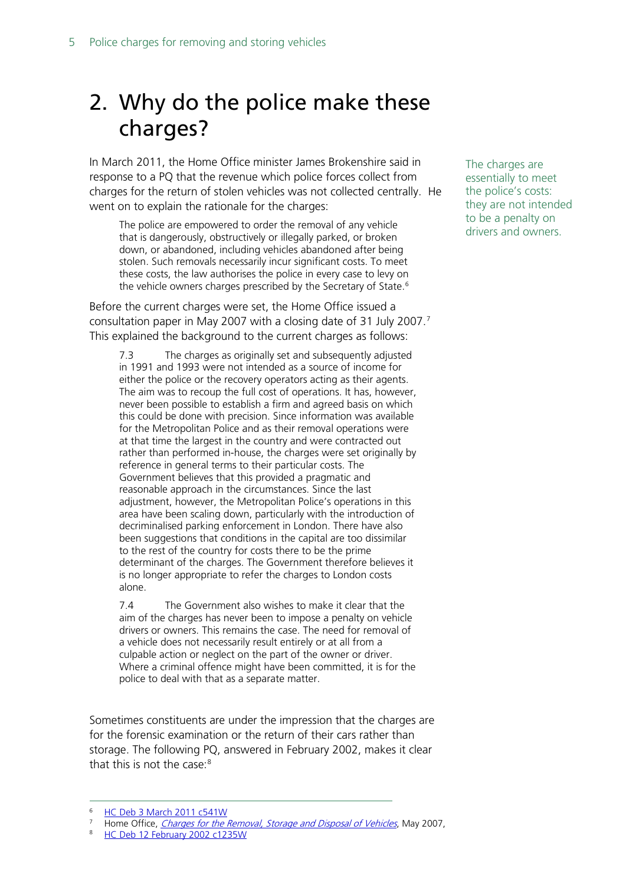# <span id="page-4-0"></span>2. Why do the police make these charges?

In March 2011, the Home Office minister James Brokenshire said in response to a PQ that the revenue which police forces collect from charges for the return of stolen vehicles was not collected centrally. He went on to explain the rationale for the charges:

The police are empowered to order the removal of any vehicle that is dangerously, obstructively or illegally parked, or broken down, or abandoned, including vehicles abandoned after being stolen. Such removals necessarily incur significant costs. To meet these costs, the law authorises the police in every case to levy on the vehicle owners charges prescribed by the Secretary of State.<sup>[6](#page-4-1)</sup>

Before the current charges were set, the Home Office issued a consultation paper in May 200[7](#page-4-2) with a closing date of 31 July 2007.<sup>7</sup> This explained the background to the current charges as follows:

7.3 The charges as originally set and subsequently adjusted in 1991 and 1993 were not intended as a source of income for either the police or the recovery operators acting as their agents. The aim was to recoup the full cost of operations. It has, however, never been possible to establish a firm and agreed basis on which this could be done with precision. Since information was available for the Metropolitan Police and as their removal operations were at that time the largest in the country and were contracted out rather than performed in-house, the charges were set originally by reference in general terms to their particular costs. The Government believes that this provided a pragmatic and reasonable approach in the circumstances. Since the last adjustment, however, the Metropolitan Police's operations in this area have been scaling down, particularly with the introduction of decriminalised parking enforcement in London. There have also been suggestions that conditions in the capital are too dissimilar to the rest of the country for costs there to be the prime determinant of the charges. The Government therefore believes it is no longer appropriate to refer the charges to London costs alone.

7.4 The Government also wishes to make it clear that the aim of the charges has never been to impose a penalty on vehicle drivers or owners. This remains the case. The need for removal of a vehicle does not necessarily result entirely or at all from a culpable action or neglect on the part of the owner or driver. Where a criminal offence might have been committed, it is for the police to deal with that as a separate matter.

Sometimes constituents are under the impression that the charges are for the forensic examination or the return of their cars rather than storage. The following PQ, answered in February 2002, makes it clear that this is not the case:<sup>[8](#page-4-3)</sup>

<span id="page-4-3"></span>

The charges are essentially to meet the police's costs: they are not intended to be a penalty on drivers and owners.

<sup>6</sup> [HC Deb 3 March 2011 c541W](http://www.publications.parliament.uk/pa/cm201011/cmhansrd/cm110303/text/110303w0002.htm%2311030356000839) -

<span id="page-4-2"></span><span id="page-4-1"></span><sup>&</sup>lt;sup>7</sup> Home Office[,](http://webarchive.nationalarchives.gov.uk/+/http:/www.homeoffice.gov.uk/documents/stat-charges-index/statutory-charges-vehicles?view=Binary) *Charges for the Removal, Storage and Disposal of Vehicles*, May 2007, 8 [HC Deb 12 February 2002 c1235W](http://www.publications.parliament.uk/pa/cm200102/cmhansrd/vo020226/text/20226w45.htm)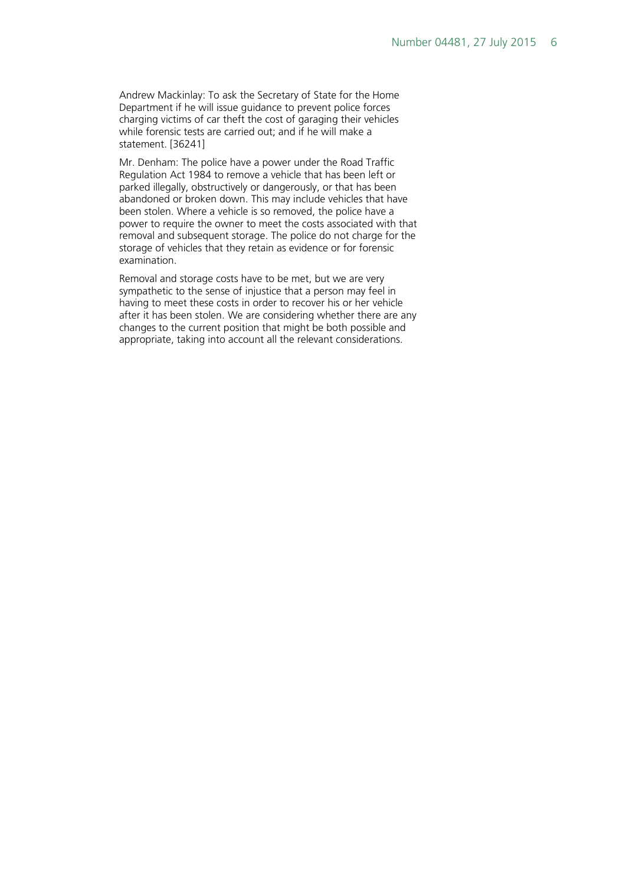Andrew Mackinlay: To ask the Secretary of State for the Home Department if he will issue guidance to prevent police forces charging victims of car theft the cost of garaging their vehicles while forensic tests are carried out; and if he will make a statement. [36241]

Mr. Denham: The police have a power under the Road Traffic Regulation Act 1984 to remove a vehicle that has been left or parked illegally, obstructively or dangerously, or that has been abandoned or broken down. This may include vehicles that have been stolen. Where a vehicle is so removed, the police have a power to require the owner to meet the costs associated with that removal and subsequent storage. The police do not charge for the storage of vehicles that they retain as evidence or for forensic examination.

Removal and storage costs have to be met, but we are very sympathetic to the sense of injustice that a person may feel in having to meet these costs in order to recover his or her vehicle after it has been stolen. We are considering whether there are any changes to the current position that might be both possible and appropriate, taking into account all the relevant considerations.